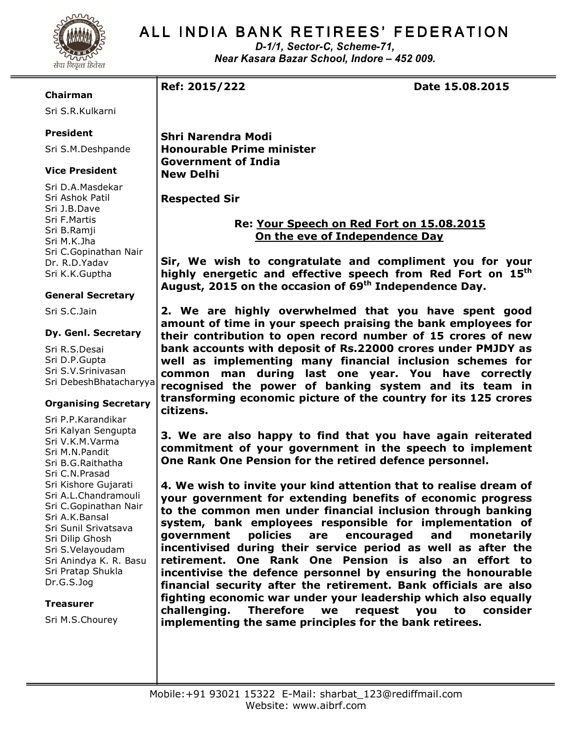

# ALL INDIA BANK RETIREES' FEDERATION

D-1/1, Sector-C, Scheme-71, Near Kasara Bazar School, Indore – 452 009.

### Chairman

Sri S.R.Kulkarni

# President

Sri S.M.Deshpande

# Vice President

Sri D.A.Masdekar Sri Ashok Patil Sri J.B.Dave Sri F.Martis Sri B.Ramji Sri M.K.Jha Sri C.Gopinathan Nair Dr. R.D.Yadav Sri K.K.Guptha

#### General Secretary

Sri S.C.Jain

#### Dy. Genl. Secretary

Sri R.S.Desai Sri D.P.Gupta Sri S.V.Srinivasan Sri DebeshBhatacharyya

# Organising Secretary

Sri P.P.Karandikar Sri Kalyan Sengupta Sri V.K.M.Varma Sri M.N.Pandit Sri B.G.Raithatha Sri C.N.Prasad Sri Kishore Gujarati Sri A.L.Chandramouli Sri C.Gopinathan Nair Sri A.K.Bansal Sri Sunil Srivatsava Sri Dilip Ghosh Sri S.Velayoudam Sri Anindya K. R. Basu Sri Pratap Shukla Dr.G.S.Jog

#### **Treasurer**

Sri M.S.Chourey

Ref: 2015/222 Date 15.08.2015

Shri Narendra Modi Honourable Prime minister Government of India New Delhi

Respected Sir

# Re: Your Speech on Red Fort on 15.08.2015 On the eve of Independence Day

Sir, We wish to congratulate and compliment you for your highly energetic and effective speech from Red Fort on 15<sup>th</sup> August, 2015 on the occasion of 69<sup>th</sup> Independence Day.

2. We are highly overwhelmed that you have spent good amount of time in your speech praising the bank employees for their contribution to open record number of 15 crores of new bank accounts with deposit of Rs.22000 crores under PMJDY as well as implementing many financial inclusion schemes for common man during last one year. You have correctly recognised the power of banking system and its team in transforming economic picture of the country for its 125 crores citizens.

3. We are also happy to find that you have again reiterated commitment of your government in the speech to implement One Rank One Pension for the retired defence personnel.

4. We wish to invite your kind attention that to realise dream of your government for extending benefits of economic progress to the common men under financial inclusion through banking system, bank employees responsible for implementation of government policies are encouraged and monetarily incentivised during their service period as well as after the retirement. One Rank One Pension is also an effort to incentivise the defence personnel by ensuring the honourable financial security after the retirement. Bank officials are also fighting economic war under your leadership which also equally challenging. Therefore we request you to consider implementing the same principles for the bank retirees.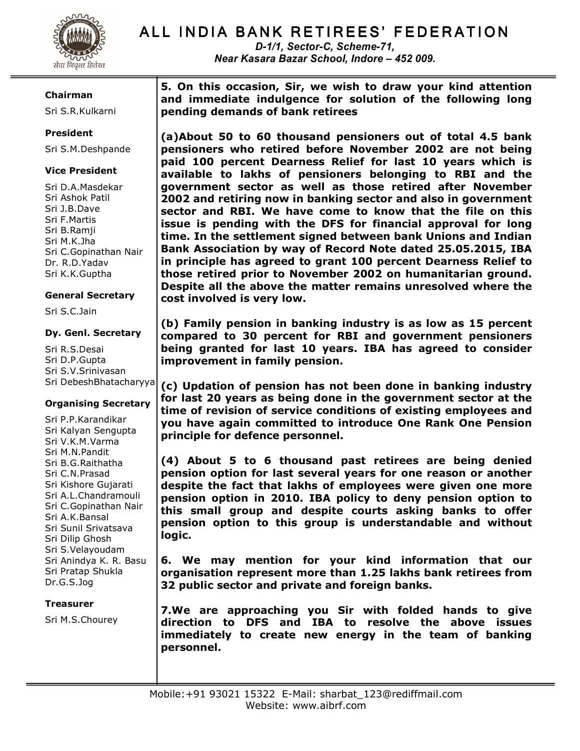

# ALL INDIA BANK RETIREES' FEDERATION

D-1/1, Sector-C, Scheme-71, Near Kasara Bazar School, Indore – 452 009.

### Chairman

Sri S.R.Kulkarni

# President

Sri S.M.Deshpande

# Vice President

Sri D.A.Masdekar Sri Ashok Patil Sri J.B.Dave Sri F.Martis Sri B.Ramji Sri M.K.Jha Sri C.Gopinathan Nair Dr. R.D.Yadav Sri K.K.Guptha

# General Secretary

Sri S.C.Jain

### Dy. Genl. Secretary

Sri R.S.Desai Sri D.P.Gupta Sri S.V.Srinivasan Sri DebeshBhatacharyya

# Organising Secretary

Sri P.P.Karandikar Sri Kalyan Sengupta Sri V.K.M.Varma Sri M.N.Pandit Sri B.G.Raithatha Sri C.N.Prasad Sri Kishore Gujarati Sri A.L.Chandramouli Sri C.Gopinathan Nair Sri A.K.Bansal Sri Sunil Srivatsava Sri Dilip Ghosh Sri S.Velayoudam Sri Anindya K. R. Basu Sri Pratap Shukla Dr.G.S.Jog

# Treasurer

Sri M.S.Chourey

5. On this occasion, Sir, we wish to draw your kind attention and immediate indulgence for solution of the following long pending demands of bank retirees

(a)About 50 to 60 thousand pensioners out of total 4.5 bank pensioners who retired before November 2002 are not being paid 100 percent Dearness Relief for last 10 years which is available to lakhs of pensioners belonging to RBI and the government sector as well as those retired after November 2002 and retiring now in banking sector and also in government sector and RBI. We have come to know that the file on this issue is pending with the DFS for financial approval for long time. In the settlement signed between bank Unions and Indian Bank Association by way of Record Note dated 25.05.2015, IBA in principle has agreed to grant 100 percent Dearness Relief to those retired prior to November 2002 on humanitarian ground. Despite all the above the matter remains unresolved where the cost involved is very low.

(b) Family pension in banking industry is as low as 15 percent compared to 30 percent for RBI and government pensioners being granted for last 10 years. IBA has agreed to consider improvement in family pension.

(c) Updation of pension has not been done in banking industry for last 20 years as being done in the government sector at the time of revision of service conditions of existing employees and you have again committed to introduce One Rank One Pension principle for defence personnel.

(4) About 5 to 6 thousand past retirees are being denied pension option for last several years for one reason or another despite the fact that lakhs of employees were given one more pension option in 2010. IBA policy to deny pension option to this small group and despite courts asking banks to offer pension option to this group is understandable and without logic.

6. We may mention for your kind information that our organisation represent more than 1.25 lakhs bank retirees from 32 public sector and private and foreign banks.

7.We are approaching you Sir with folded hands to give direction to DFS and IBA to resolve the above issues immediately to create new energy in the team of banking personnel.